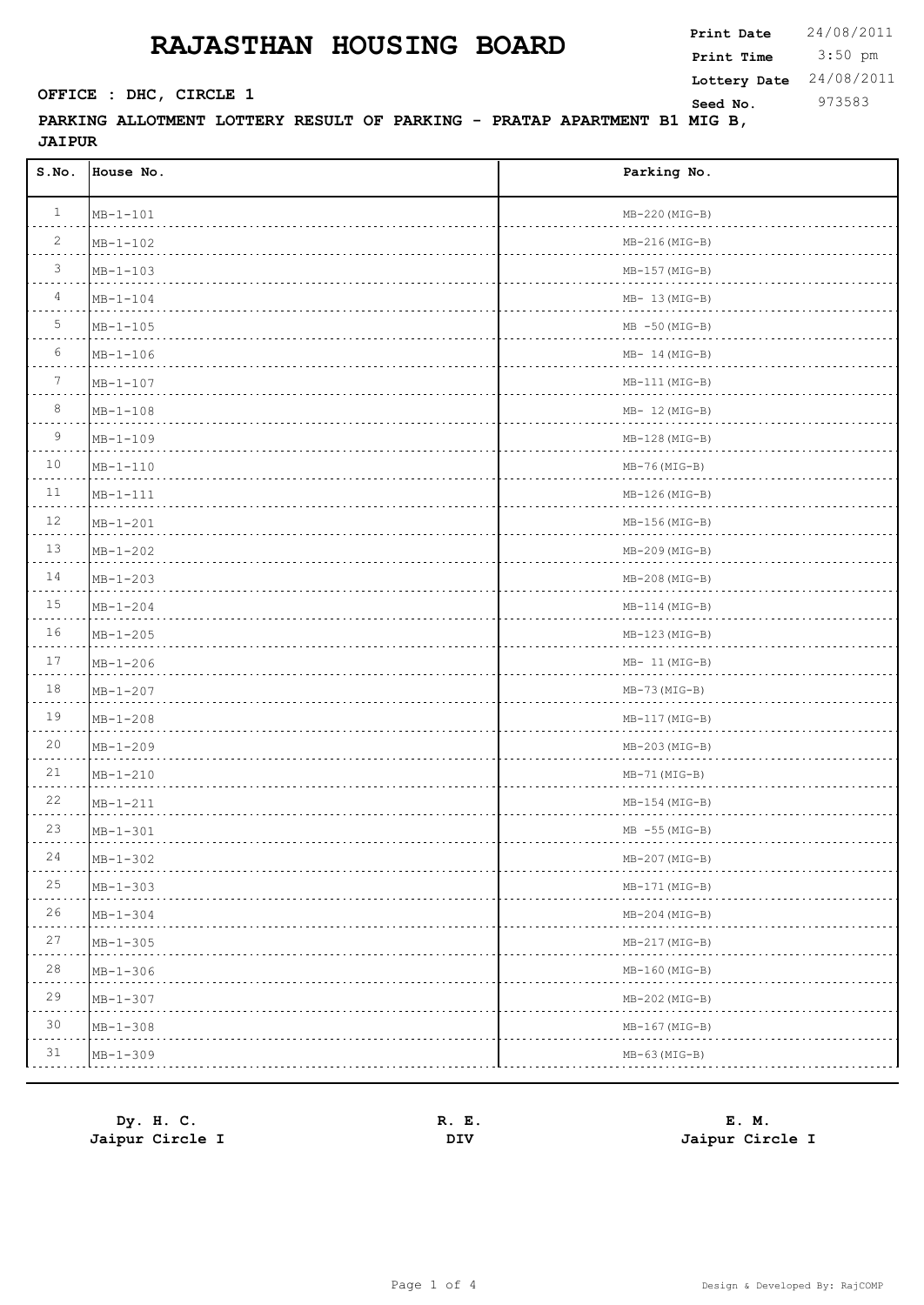3:50 pm **Print Date**  $24/08/2011$ **Print Time SEED CONSTREXER SEED NO.** 973583 **Lottery Date** 24/08/2011

### **PARKING ALLOTMENT LOTTERY RESULT OF PARKING - PRATAP APARTMENT B1 MIG B, JAIPUR**

| S.NO.           | House No.      | Parking No.                                                |
|-----------------|----------------|------------------------------------------------------------|
| $\mathbf{1}$    | $MB - 1 - 101$ | $MB-220(MIG-B)$                                            |
| $\overline{2}$  | $MB - 1 - 102$ | $MB-216(MIG-B)$                                            |
| $\mathcal{S}$   | $MB - 1 - 103$ | $MB-157 (MIG-B)$                                           |
| $\overline{4}$  | $MB - 1 - 104$ | $MB-13(MIG-B)$                                             |
| 5               | $MB - 1 - 105$ | $MB - 50(MIG-B)$<br>.                                      |
| 6               | $MB - 1 - 106$ | $MB-14(MIG-B)$<br>$\mathcal{L}$ . The set of $\mathcal{L}$ |
| $7\phantom{.0}$ | $MB - 1 - 107$ | $MB-111(MIG-B)$<br>.                                       |
| 8               | $MB - 1 - 108$ | $MB-12(MIG-B)$                                             |
| 9               | $MB - 1 - 109$ | $MB-128(MIG-B)$                                            |
| 10              | $MB - 1 - 110$ | $MB-76(MIG-B)$                                             |
| 11              | $MB-1-111$     | $MB-126(MIG-B)$<br>.                                       |
| 12              | $MB - 1 - 201$ | $MB-156(MIG-B)$                                            |
| 13              | $MB - 1 - 202$ | $MB-209(MIG-B)$                                            |
| 14              | $MB - 1 - 203$ | $MB-208(MIG-B)$                                            |
| 15              | $MB - 1 - 204$ | $MB-114(MIG-B)$                                            |
| 16              | $MB - 1 - 205$ | $MB-123(MIG-B)$                                            |
| 17              | $MB - 1 - 206$ | $MB-11(MIG-B)$                                             |
| 18              | $MB - 1 - 207$ | $MB-73 (MIG-B)$<br>.                                       |
| 19              | $MP - 1 - 208$ | $MB-117(MIG-B)$<br>and a strategic                         |
| 20              | $MB - 1 - 209$ | $MB-203(MIG-B)$                                            |
| 21              | $MB - 1 - 210$ | $MB-71(MIG-B)$                                             |
| 22              | $MB - 1 - 211$ | $MB-154 (MIG-B)$                                           |
| 23              | $MB - 1 - 301$ | $MB -55 (MIG-B)$                                           |
| 24              | $MB - 1 - 302$ | $MB-207(MIG-B)$                                            |
| 25              | $MP - 1 - 303$ | $MB-171(MIG-B)$                                            |
| 26              | $MP - 1 - 304$ | $MB-204 (MIG-B)$                                           |
| 27              | $MP - 1 - 305$ | $MB-217(MIG-B)$                                            |
| 28              | $MP - 1 - 306$ | $MB-160(MIG-B)$                                            |
| 29              | $MP - 1 - 307$ | $MB-202(MIG-B)$                                            |
| 30              | $MB - 1 - 308$ | $MB-167 (MIG-B)$                                           |
| 31              | $MB - 1 - 309$ | $MB-63(MIG-B)$                                             |

| Dy. H. C.       | E.<br>R. | E. M.           |
|-----------------|----------|-----------------|
| Jaipur Circle I | DIV      | Jaipur Circle I |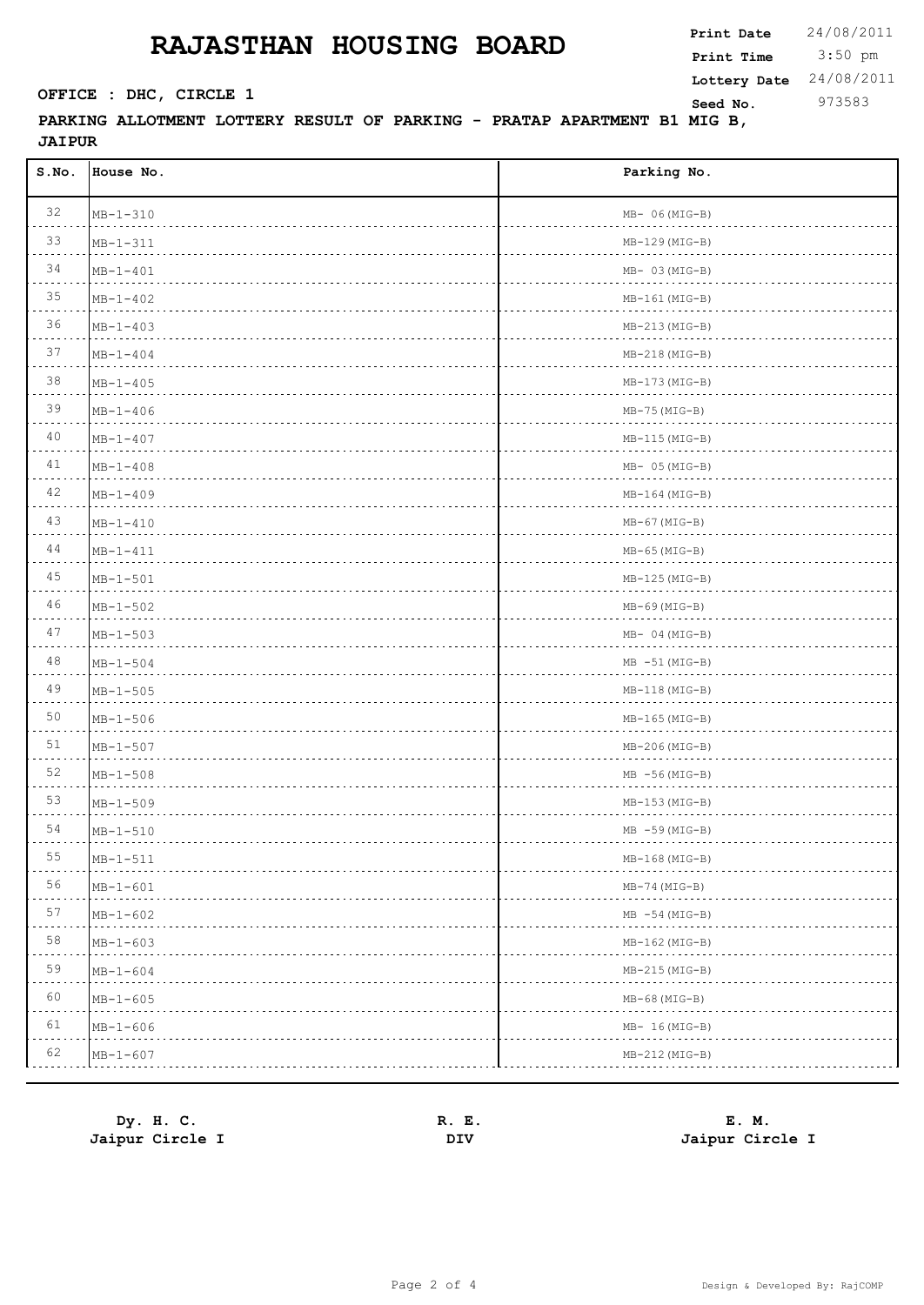3:50 pm **Print Date**  $24/08/2011$ **Print Time SEED CONSTREXER SEED NO.** 973583 **Lottery Date** 24/08/2011

### **PARKING ALLOTMENT LOTTERY RESULT OF PARKING - PRATAP APARTMENT B1 MIG B, JAIPUR**

| S.NO. | House No.      | Parking No.          |
|-------|----------------|----------------------|
| 32    | $MB - 1 - 310$ | $MB- 06(MIG-B)$      |
| 33    | $MB - 1 - 311$ | $MB-129(MIG-B)$      |
| 34    | $MB - 1 - 401$ | $MB-03(MIG-B)$       |
| 35    | $MB - 1 - 402$ | $MB-161(MIG-B)$      |
| 36    | $MB - 1 - 403$ | $MB-213(MIG-B)$<br>. |
| 37    | $MB - 1 - 404$ | $MB-218(MIG-B)$      |
| 38    | $MB - 1 - 405$ | $MB-173(MIG-B)$      |
| 39    | $MB - 1 - 406$ | $MB-75 (MIG-B)$      |
| 40    | $MB - 1 - 407$ | $MB-115(MIG-B)$      |
| 41    | $MB - 1 - 408$ | $MB- 05(MIG-B)$      |
| 42    | $MB - 1 - 409$ | $MB-164$ (MIG-B)     |
| 43    | $MB - 1 - 410$ | $MB-67 (MIG-B)$      |
| 44    | $MB-1-411$     | $MB-65 (MIG-B)$      |
| 45    | $MB - 1 - 501$ | $MB-125(MIG-B)$      |
| 46    | $MB - 1 - 502$ | $MB-69$ (MIG-B)      |
| 47    | $MB - 1 - 503$ | $MB-04(MIG-B)$       |
| 48    | $MB - 1 - 504$ | $MB -51(MIG-B)$<br>. |
| 49    | $MP - 1 - 505$ | $MB-118(MIG-B)$<br>. |
| 50    | $MP - 1 - 506$ | $MB-165(MIG-B)$<br>. |
| 51    | $MP - 1 - 507$ | $MB-206(MIG-B)$      |
| 52    | $MB - 1 - 508$ | $MB - 56(MIG-B)$     |
| 53    | $MB - 1 - 509$ | $MB-153(MIG-B)$      |
| 54    | $MB - 1 - 510$ | $MB - 59(MIG-B)$     |
| 55    | $MB - 1 - 511$ | $MB-168(MIG-B)$      |
| 56    | $MP-1-601$     | $MB-74 (MIG-B)$      |
| 57    | $MP - 1 - 602$ | $MB - 54 (MIG-B)$    |
| 58    | $MP - 1 - 603$ | $MB-162$ (MIG-B)     |
| 59    | $MB - 1 - 604$ | $MB-215(MIG-B)$      |
| 60    | $MP - 1 - 605$ | $MB-68$ (MIG-B)      |
| 61    | $MB - 1 - 606$ | $MB-16(MIG-B)$       |
| 62    | $MB - 1 - 607$ | $MB-212(MIG-B)$      |

| Dy. H. C.       | Е.<br>R. | E. M.           |
|-----------------|----------|-----------------|
| Jaipur Circle I | DIV      | Jaipur Circle I |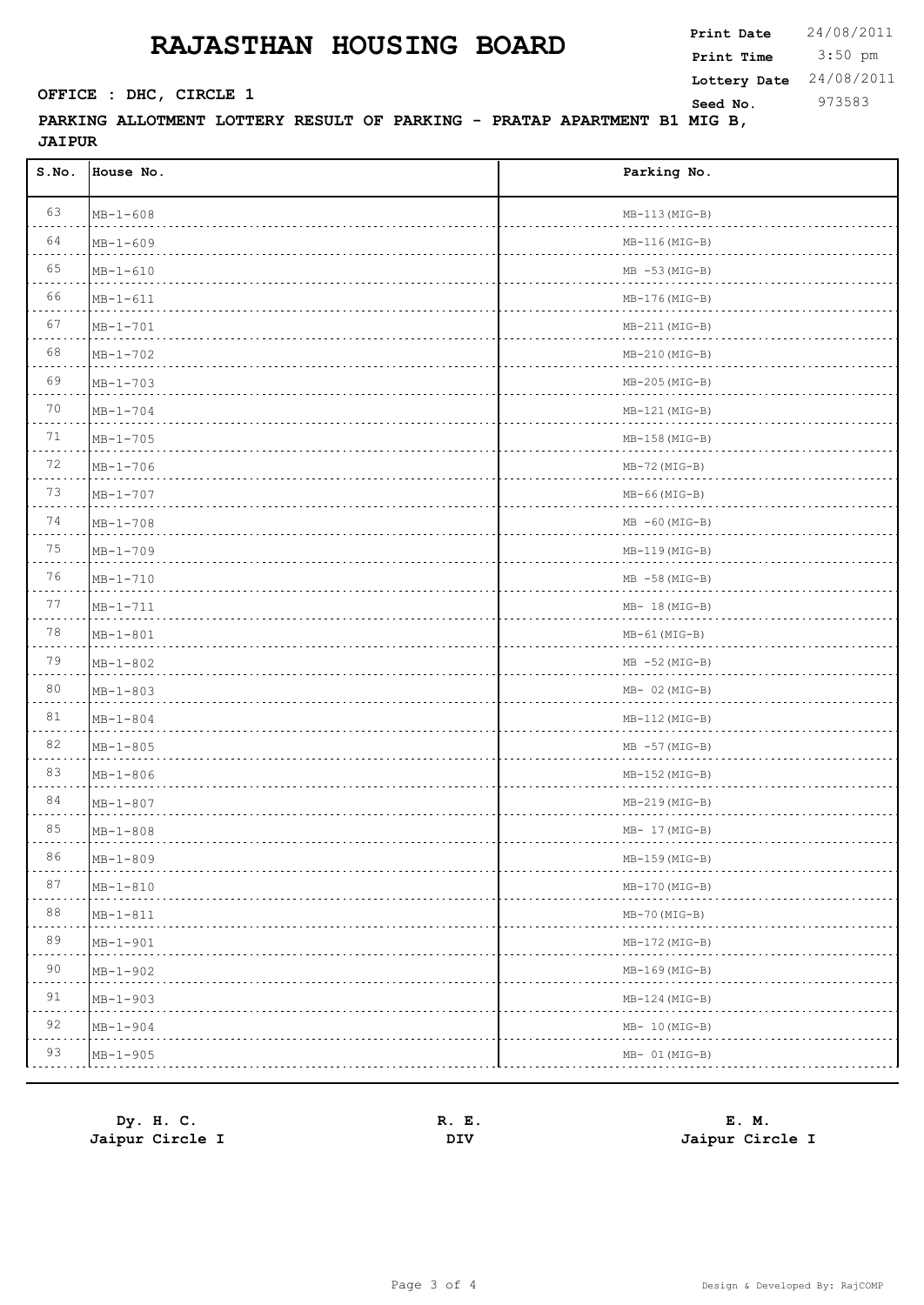3:50 pm **Print Date**  $24/08/2011$ **Print Time SEED CONSTREXER SEED NO.** 973583 **Lottery Date** 24/08/2011

### **PARKING ALLOTMENT LOTTERY RESULT OF PARKING - PRATAP APARTMENT B1 MIG B, JAIPUR**

| 63<br>$MB-113(MIG-B)$<br>$MB - 1 - 608$<br>64<br>$MB-116(MIG-B)$<br>$MB - 1 - 609$<br>65<br>$MB - 53(MIG-B)$<br>$MB - 1 - 610$<br>66<br>$MB-176(MIG-B)$<br>$MB - 1 - 611$<br>67<br>$MB - 1 - 701$<br>$MB-211(MIG-B)$<br>68<br>$MB - 1 - 702$<br>$MB-210(MIG-B)$<br>69<br>$MB-205(MIG-B)$<br>$MB - 1 - 703$<br>70<br>$MB-121(MIG-B)$<br>$MB - 1 - 704$<br>71<br>$MB-158(MIG-B)$<br>$MP - 1 - 705$<br>72<br>$MB-72 (MIG-B)$<br>$MB - 1 - 706$<br>.<br>73<br>$MB - 1 - 707$<br>$MB-66 (MIG-B)$<br>.<br>74<br>$MB -60 (MIG-B)$<br>$MB - 1 - 708$<br>.<br>75<br>$MB - 1 - 709$<br>$MB-119(MIG-B)$<br>.<br>76<br>$MB - 58(MIG-B)$<br>$MP - 1 - 710$<br>77<br>$MB - 1 - 711$<br>$MB-18(MIG-B)$<br>78<br>$MB-61$ (MIG-B)<br>$MP - 1 - 801$<br>79<br>$MB - 52 (MIG-B)$<br>$MB - 1 - 802$<br>.<br>80<br>$MB - 1 - 803$<br>$MB- 02 (MIG-B)$<br>81<br>$MB-112(MIG-B)$<br>$MP - 1 - 804$<br>82<br>$MP - 1 - 805$<br>$MB - 57 (MIG-B)$<br>83<br>$MB - 1 - 806$<br>$MB-152(MIG-B)$<br>84<br>$MB - 1 - 807$<br>$MB-219(MIG-B)$<br>85<br>$MB - 1 - 808$<br>$MB-17(MIG-B)$ | S.NO. | House No. | Parking No. |
|----------------------------------------------------------------------------------------------------------------------------------------------------------------------------------------------------------------------------------------------------------------------------------------------------------------------------------------------------------------------------------------------------------------------------------------------------------------------------------------------------------------------------------------------------------------------------------------------------------------------------------------------------------------------------------------------------------------------------------------------------------------------------------------------------------------------------------------------------------------------------------------------------------------------------------------------------------------------------------------------------------------------------------------------------------|-------|-----------|-------------|
|                                                                                                                                                                                                                                                                                                                                                                                                                                                                                                                                                                                                                                                                                                                                                                                                                                                                                                                                                                                                                                                          |       |           |             |
|                                                                                                                                                                                                                                                                                                                                                                                                                                                                                                                                                                                                                                                                                                                                                                                                                                                                                                                                                                                                                                                          |       |           |             |
|                                                                                                                                                                                                                                                                                                                                                                                                                                                                                                                                                                                                                                                                                                                                                                                                                                                                                                                                                                                                                                                          |       |           |             |
|                                                                                                                                                                                                                                                                                                                                                                                                                                                                                                                                                                                                                                                                                                                                                                                                                                                                                                                                                                                                                                                          |       |           |             |
|                                                                                                                                                                                                                                                                                                                                                                                                                                                                                                                                                                                                                                                                                                                                                                                                                                                                                                                                                                                                                                                          |       |           |             |
|                                                                                                                                                                                                                                                                                                                                                                                                                                                                                                                                                                                                                                                                                                                                                                                                                                                                                                                                                                                                                                                          |       |           |             |
|                                                                                                                                                                                                                                                                                                                                                                                                                                                                                                                                                                                                                                                                                                                                                                                                                                                                                                                                                                                                                                                          |       |           |             |
|                                                                                                                                                                                                                                                                                                                                                                                                                                                                                                                                                                                                                                                                                                                                                                                                                                                                                                                                                                                                                                                          |       |           |             |
|                                                                                                                                                                                                                                                                                                                                                                                                                                                                                                                                                                                                                                                                                                                                                                                                                                                                                                                                                                                                                                                          |       |           |             |
|                                                                                                                                                                                                                                                                                                                                                                                                                                                                                                                                                                                                                                                                                                                                                                                                                                                                                                                                                                                                                                                          |       |           |             |
|                                                                                                                                                                                                                                                                                                                                                                                                                                                                                                                                                                                                                                                                                                                                                                                                                                                                                                                                                                                                                                                          |       |           |             |
|                                                                                                                                                                                                                                                                                                                                                                                                                                                                                                                                                                                                                                                                                                                                                                                                                                                                                                                                                                                                                                                          |       |           |             |
|                                                                                                                                                                                                                                                                                                                                                                                                                                                                                                                                                                                                                                                                                                                                                                                                                                                                                                                                                                                                                                                          |       |           |             |
|                                                                                                                                                                                                                                                                                                                                                                                                                                                                                                                                                                                                                                                                                                                                                                                                                                                                                                                                                                                                                                                          |       |           |             |
|                                                                                                                                                                                                                                                                                                                                                                                                                                                                                                                                                                                                                                                                                                                                                                                                                                                                                                                                                                                                                                                          |       |           |             |
|                                                                                                                                                                                                                                                                                                                                                                                                                                                                                                                                                                                                                                                                                                                                                                                                                                                                                                                                                                                                                                                          |       |           |             |
|                                                                                                                                                                                                                                                                                                                                                                                                                                                                                                                                                                                                                                                                                                                                                                                                                                                                                                                                                                                                                                                          |       |           |             |
|                                                                                                                                                                                                                                                                                                                                                                                                                                                                                                                                                                                                                                                                                                                                                                                                                                                                                                                                                                                                                                                          |       |           |             |
|                                                                                                                                                                                                                                                                                                                                                                                                                                                                                                                                                                                                                                                                                                                                                                                                                                                                                                                                                                                                                                                          |       |           |             |
|                                                                                                                                                                                                                                                                                                                                                                                                                                                                                                                                                                                                                                                                                                                                                                                                                                                                                                                                                                                                                                                          |       |           |             |
|                                                                                                                                                                                                                                                                                                                                                                                                                                                                                                                                                                                                                                                                                                                                                                                                                                                                                                                                                                                                                                                          |       |           |             |
|                                                                                                                                                                                                                                                                                                                                                                                                                                                                                                                                                                                                                                                                                                                                                                                                                                                                                                                                                                                                                                                          |       |           |             |
|                                                                                                                                                                                                                                                                                                                                                                                                                                                                                                                                                                                                                                                                                                                                                                                                                                                                                                                                                                                                                                                          |       |           |             |
| $MB - 1 - 809$<br>$MB-159(MIG-B)$<br>$\cdots \cdots \cdots$<br>.                                                                                                                                                                                                                                                                                                                                                                                                                                                                                                                                                                                                                                                                                                                                                                                                                                                                                                                                                                                         | 86    |           |             |
| 87<br>$MB-170(MIG-B)$<br>$MB - 1 - 810$                                                                                                                                                                                                                                                                                                                                                                                                                                                                                                                                                                                                                                                                                                                                                                                                                                                                                                                                                                                                                  |       |           |             |
| 88<br>$MB - 1 - 811$<br>$MB-70 (MIG-B)$<br>.<br>- - - -                                                                                                                                                                                                                                                                                                                                                                                                                                                                                                                                                                                                                                                                                                                                                                                                                                                                                                                                                                                                  |       |           |             |
| 89<br>$MB - 1 - 901$<br>$MB-172(MIG-B)$                                                                                                                                                                                                                                                                                                                                                                                                                                                                                                                                                                                                                                                                                                                                                                                                                                                                                                                                                                                                                  |       |           |             |
| 90<br>$MB - 1 - 902$<br>$MB-169$ (MIG-B)<br>.                                                                                                                                                                                                                                                                                                                                                                                                                                                                                                                                                                                                                                                                                                                                                                                                                                                                                                                                                                                                            |       |           |             |
| 91<br>$MB - 1 - 903$<br>$MB-124(MIG-B)$                                                                                                                                                                                                                                                                                                                                                                                                                                                                                                                                                                                                                                                                                                                                                                                                                                                                                                                                                                                                                  |       |           |             |
| 92<br>$MB - 1 - 904$<br>$MB-10(MIG-B)$                                                                                                                                                                                                                                                                                                                                                                                                                                                                                                                                                                                                                                                                                                                                                                                                                                                                                                                                                                                                                   |       |           |             |
| 93<br>$MB - 1 - 905$<br>$MB- 01 (MIG-B)$                                                                                                                                                                                                                                                                                                                                                                                                                                                                                                                                                                                                                                                                                                                                                                                                                                                                                                                                                                                                                 |       |           |             |

| Dy. H. C.       | Е.<br>к. | E. M.           |
|-----------------|----------|-----------------|
| Jaipur Circle I | DΙV      | Jaipur Circle I |